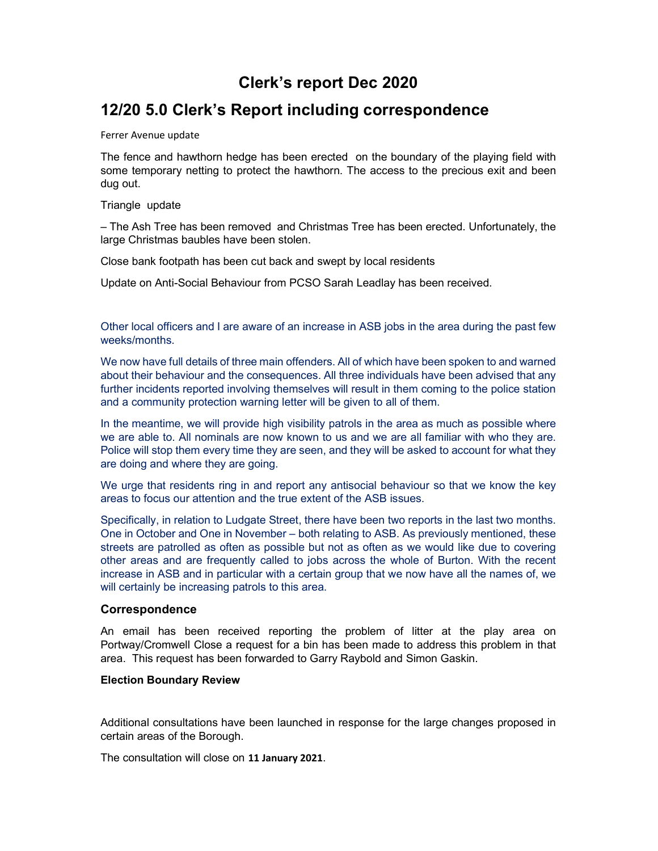## Clerk's report Dec 2020

## 12/20 5.0 Clerk's Report including correspondence

### Ferrer Avenue update

The fence and hawthorn hedge has been erected on the boundary of the playing field with some temporary netting to protect the hawthorn. The access to the precious exit and been dug out.

Triangle update

– The Ash Tree has been removed and Christmas Tree has been erected. Unfortunately, the large Christmas baubles have been stolen.

Close bank footpath has been cut back and swept by local residents

Update on Anti-Social Behaviour from PCSO Sarah Leadlay has been received.

Other local officers and I are aware of an increase in ASB jobs in the area during the past few weeks/months.

We now have full details of three main offenders. All of which have been spoken to and warned about their behaviour and the consequences. All three individuals have been advised that any further incidents reported involving themselves will result in them coming to the police station and a community protection warning letter will be given to all of them.

In the meantime, we will provide high visibility patrols in the area as much as possible where we are able to. All nominals are now known to us and we are all familiar with who they are. Police will stop them every time they are seen, and they will be asked to account for what they are doing and where they are going.

We urge that residents ring in and report any antisocial behaviour so that we know the key areas to focus our attention and the true extent of the ASB issues.

Specifically, in relation to Ludgate Street, there have been two reports in the last two months. One in October and One in November – both relating to ASB. As previously mentioned, these streets are patrolled as often as possible but not as often as we would like due to covering other areas and are frequently called to jobs across the whole of Burton. With the recent increase in ASB and in particular with a certain group that we now have all the names of, we will certainly be increasing patrols to this area.

### Correspondence

An email has been received reporting the problem of litter at the play area on Portway/Cromwell Close a request for a bin has been made to address this problem in that area. This request has been forwarded to Garry Raybold and Simon Gaskin.

### Election Boundary Review

Additional consultations have been launched in response for the large changes proposed in certain areas of the Borough.

The consultation will close on 11 January 2021.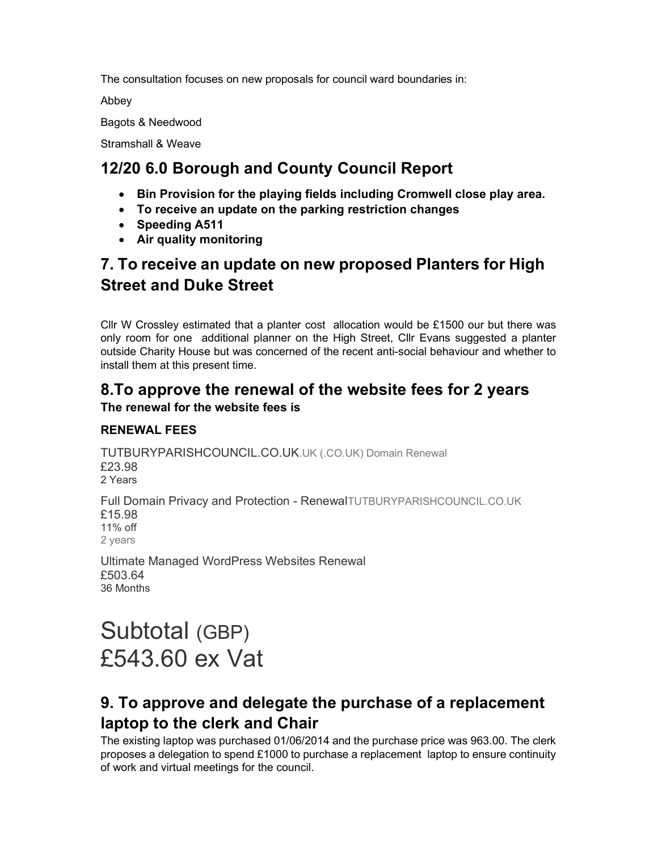The consultation focuses on new proposals for council ward boundaries in:

Abbey

Bagots & Needwood

Stramshall & Weave

## 12/20 6.0 Borough and County Council Report

- Bin Provision for the playing fields including Cromwell close play area.
- To receive an update on the parking restriction changes
- Speeding A511
- Air quality monitoring

## 7. To receive an update on new proposed Planters for High Street and Duke Street

Cllr W Crossley estimated that a planter cost allocation would be £1500 our but there was only room for one additional planner on the High Street, Cllr Evans suggested a planter outside Charity House but was concerned of the recent anti-social behaviour and whether to install them at this present time.

# 8.To approve the renewal of the website fees for 2 years

## The renewal for the website fees is

## RENEWAL FEES

TUTBURYPARISHCOUNCIL.CO.UK.UK (.CO.UK) Domain Renewal £23.98 2 Years Full Domain Privacy and Protection - RenewalTUTBURYPARISHCOUNCIL.CO.UK £15.98 11% off 2 years

Ultimate Managed WordPress Websites Renewal £503.64 36 Months

# Subtotal (GBP) £543.60 ex Vat

## 9. To approve and delegate the purchase of a replacement laptop to the clerk and Chair

The existing laptop was purchased 01/06/2014 and the purchase price was 963.00. The clerk proposes a delegation to spend £1000 to purchase a replacement laptop to ensure continuity of work and virtual meetings for the council.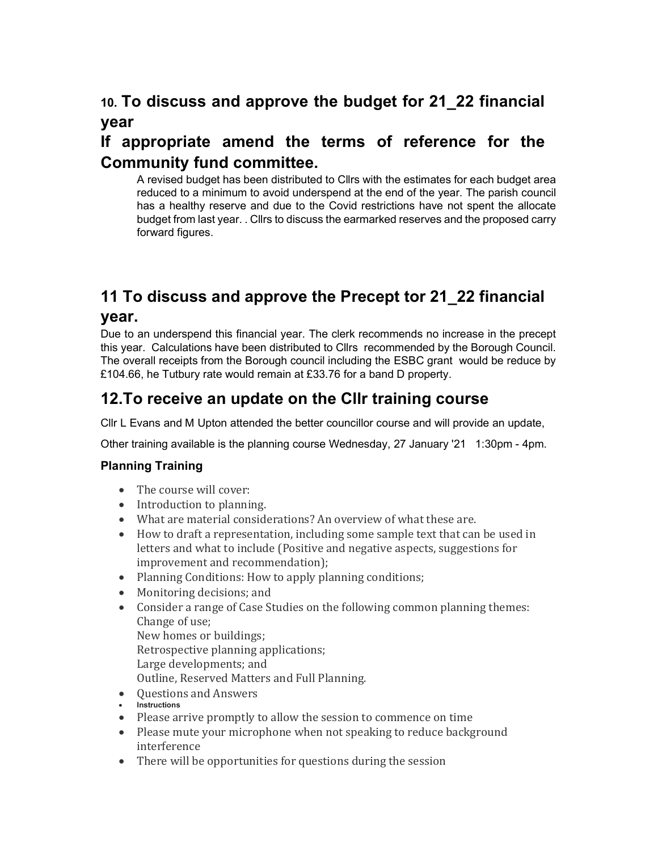# 10. To discuss and approve the budget for 21\_22 financial year

## If appropriate amend the terms of reference for the Community fund committee.

A revised budget has been distributed to Cllrs with the estimates for each budget area reduced to a minimum to avoid underspend at the end of the year. The parish council has a healthy reserve and due to the Covid restrictions have not spent the allocate budget from last year. . Cllrs to discuss the earmarked reserves and the proposed carry forward figures.

## 11 To discuss and approve the Precept tor 21\_22 financial year.

Due to an underspend this financial year. The clerk recommends no increase in the precept this year. Calculations have been distributed to Cllrs recommended by the Borough Council. The overall receipts from the Borough council including the ESBC grant would be reduce by £104.66, he Tutbury rate would remain at £33.76 for a band D property.

## 12.To receive an update on the Cllr training course

Cllr L Evans and M Upton attended the better councillor course and will provide an update,

Other training available is the planning course Wednesday, 27 January '21 1:30pm - 4pm.

## Planning Training

- The course will cover:
- Introduction to planning.
- What are material considerations? An overview of what these are.
- How to draft a representation, including some sample text that can be used in letters and what to include (Positive and negative aspects, suggestions for improvement and recommendation);
- Planning Conditions: How to apply planning conditions;
- Monitoring decisions; and
- Consider a range of Case Studies on the following common planning themes: Change of use;
	- New homes or buildings; Retrospective planning applications; Large developments; and Outline, Reserved Matters and Full Planning.
- Questions and Answers
- **Instructions**
- Please arrive promptly to allow the session to commence on time
- Please mute your microphone when not speaking to reduce background interference
- There will be opportunities for questions during the session